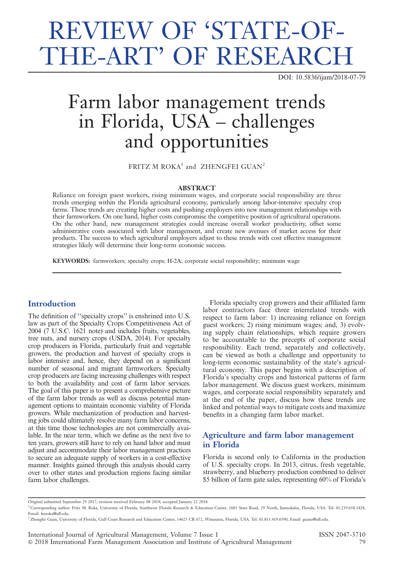# REVIEW OF 'STATE-OF-THE-ART' OF RESEARCH

DOI: 10.5836/ijam/2018-07-79

# Farm labor management trends in Florida, USA – challenges and opportunities

FRITZ M ROKA<sup>1</sup> and ZHENGFEI GUAN<sup>2</sup>

#### ABSTRACT

Reliance on foreign guest workers, rising minimum wages, and corporate social responsibility are three trends emerging within the Florida agricultural economy, particularly among labor-intensive specialty crop farms. These trends are creating higher costs and pushing employers into new management relationships with their farmworkers. On one hand, higher costs compromise the competitive position of agricultural operations. On the other hand, new management strategies could increase overall worker productivity, offset some administrative costs associated with labor management, and create new avenues of market access for their products. The success to which agricultural employers adjust to these trends with cost effective management strategies likely will determine their long-term economic success.

KEYWORDS: farmworkers; specialty crops; H-2A; corporate social responsibility; minimum wage

## **Introduction**

The definition of ''specialty crops'' is enshrined into U.S. law as part of the Specialty Crops Competitiveness Act of  $2004$  ( $7$  U.S.C. 1621 note) and includes fruits, vegetables, tree nuts, and nursery crops (USDA, 2014). For specialty crop producers in Florida, particularly fruit and vegetable growers, the production and harvest of specialty crops is labor intensive and, hence, they depend on a significant number of seasonal and migrant farmworkers. Specialty crop producers are facing increasing challenges with respect to both the availability and cost of farm labor services. The goal of this paper is to present a comprehensive picture of the farm labor trends as well as discuss potential management options to maintain economic viability of Florida growers. While mechanization of production and harvesting jobs could ultimately resolve many farm labor concerns, at this time those technologies are not commercially available. In the near term, which we define as the next five to ten years, growers still have to rely on hand labor and must adjust and accommodate their labor management practices to secure an adequate supply of workers in a cost-effective manner. Insights gained through this analysis should carry over to other states and production regions facing similar farm labor challenges.

Florida specialty crop growers and their affiliated farm labor contractors face three interrelated trends with respect to farm labor: 1) increasing reliance on foreign guest workers; 2) rising minimum wages; and, 3) evolving supply chain relationships, which require growers to be accountable to the precepts of corporate social responsibility. Each trend, separately and collectively, can be viewed as both a challenge and opportunity to long-term economic sustainability of the state's agricultural economy. This paper begins with a description of Florida's specialty crops and historical patterns of farm labor management. We discuss guest workers, minimum wages, and corporate social responsibility separately and at the end of the paper, discuss how these trends are linked and potential ways to mitigate costs and maximize benefits in a changing farm labor market.

# Agriculture and farm labor management in Florida

Florida is second only to California in the production of U.S. specialty crops. In 2013, citrus, fresh vegetable, strawberry, and blueberry production combined to deliver \$5 billion of farm gate sales, representing 60% of Florida's

Original submitted September 29 2017; revision received February 08 2018; accepted January 22 2018.

<sup>1</sup> Corresponding author: Fritz M. Roka, University of Florida, Southwest Florida Research & Education Center, 2685 State Road, 29 North, Immokalee, Florida, USA. Tel: 01.239.658.3428, Email: fmroka@ufl.edu.

<sup>2</sup>Zhengfei Guan, University of Florida, Gulf Coast Research and Education Center, 14625 CR 672, Wimauma, Florida, USA. Tel: 01.813.419.6590, Email: guanz@ufl.edu.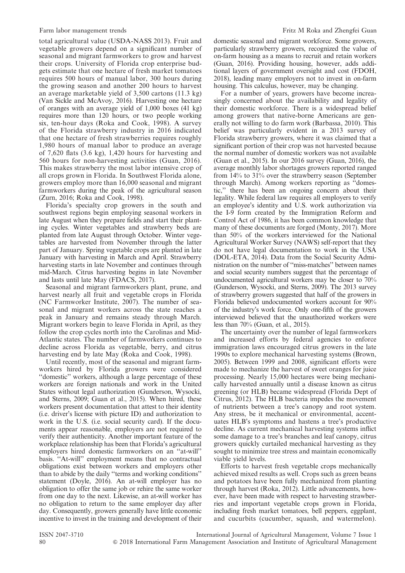total agricultural value (USDA-NASS 2013). Fruit and vegetable growers depend on a significant number of seasonal and migrant farmworkers to grow and harvest their crops. University of Florida crop enterprise budgets estimate that one hectare of fresh market tomatoes requires 500 hours of manual labor, 300 hours during the growing season and another 200 hours to harvest an average marketable yield of 3,500 cartons (11.3 kg) (Van Sickle and McAvoy, 2016). Harvesting one hectare of oranges with an average yield of 1,000 boxes (41 kg) requires more than 120 hours, or two people working six, ten-hour days (Roka and Cook, 1998). A survey of the Florida strawberry industry in 2016 indicated that one hectare of fresh strawberries requires roughly 1,980 hours of manual labor to produce an average of 7,620 flats (3.6 kg), 1,420 hours for harvesting and 560 hours for non-harvesting activities (Guan, 2016). This makes strawberry the most labor intensive crop of all crops grown in Florida. In Southwest Florida alone, growers employ more than 16,000 seasonal and migrant farmworkers during the peak of the agricultural season (Zurn, 2016; Roka and Cook, 1998).

Florida's specialty crop growers in the south and southwest regions begin employing seasonal workers in late August when they prepare fields and start their planting cycles. Winter vegetables and strawberry beds are planted from late August through October. Winter vegetables are harvested from November through the latter part of January. Spring vegetable crops are planted in late January with harvesting in March and April. Strawberry harvesting starts in late November and continues through mid-March. Citrus harvesting begins in late November and lasts until late May (FDACS, 2017).

Seasonal and migrant farmworkers plant, prune, and harvest nearly all fruit and vegetable crops in Florida (NC Farmworker Institute, 2007). The number of seasonal and migrant workers across the state reaches a peak in January and remains steady through March. Migrant workers begin to leave Florida in April, as they follow the crop cycles north into the Carolinas and Mid-Atlantic states. The number of farmworkers continues to decline across Florida as vegetable, berry, and citrus harvesting end by late May (Roka and Cook, 1998).

Until recently, most of the seasonal and migrant farmworkers hired by Florida growers were considered ''domestic'' workers, although a large percentage of these workers are foreign nationals and work in the United States without legal authorization (Gunderson, Wysocki, and Sterns, 2009; Guan et al., 2015). When hired, these workers present documentation that attest to their identity (i.e. driver's license with picture ID) and authorization to work in the U.S. (i.e. social security card). If the documents appear reasonable, employers are not required to verify their authenticity. Another important feature of the workplace relationship has been that Florida's agricultural employers hired domestic farmworkers on an ''at-will'' basis. ''At-will'' employment means that no contractual obligations exist between workers and employers other than to abide by the daily ''terms and working conditions'' statement (Doyle, 2016). An at-will employer has no obligation to offer the same job or rehire the same worker from one day to the next. Likewise, an at-will worker has no obligation to return to the same employer day after day. Consequently, growers generally have little economic incentive to invest in the training and development of their domestic seasonal and migrant workforce. Some growers, particularly strawberry growers, recognized the value of on-farm housing as a means to recruit and retain workers (Guan, 2016). Providing housing, however, adds additional layers of government oversight and cost (FDOH, 2018), leading many employers not to invest in on-farm housing. This calculus, however, may be changing.

For a number of years, growers have become increasingly concerned about the availability and legality of their domestic workforce. There is a widespread belief among growers that native-borne Americans are generally not willing to do farm work (Barbassa, 2010). This belief was particularly evident in a 2013 survey of Florida strawberry growers, where it was claimed that a significant portion of their crop was not harvested because the normal number of domestic workers was not available (Guan et al., 2015). In our 2016 survey (Guan, 2016), the average monthly labor shortages growers reported ranged from 14% to 31% over the strawberry season (September through March). Among workers reporting as ''domestic,'' there has been an ongoing concern about their legality. While federal law requires all employers to verify an employee's identity and U.S. work authorization via the I-9 form created by the Immigration Reform and Control Act of 1986, it has been common knowledge that many of these documents are forged (Monty, 2017). More than 50% of the workers interviewed for the National Agricultural Worker Survey (NAWS) self-report that they do not have legal documentation to work in the USA (DOL-ETA, 2014). Data from the Social Security Administration on the number of ''miss-matches'' between names and social security numbers suggest that the percentage of undocumented agricultural workers may be closer to 70% (Gunderson, Wysocki, and Sterns, 2009). The 2013 survey of strawberry growers suggested that half of the growers in Florida believed undocumented workers account for 90% of the industry's work force. Only one-fifth of the growers interviewed believed that the unauthorized workers were less than 70% (Guan, et al., 2015).

The uncertainty over the number of legal farmworkers and increased efforts by federal agencies to enforce immigration laws encouraged citrus growers in the late 1990s to explore mechanical harvesting systems (Brown, 2005). Between 1999 and 2008, significant efforts were made to mechanize the harvest of sweet oranges for juice processing. Nearly 15,000 hectares were being mechanically harvested annually until a disease known as citrus greening (or HLB) became widespread (Florida Dept of Citrus, 2012). The HLB bacteria impedes the movement of nutrients between a tree's canopy and root system. Any stress, be it mechanical or environmental, accentuates HLB's symptoms and hastens a tree's productive decline. As current mechanical harvesting systems inflict some damage to a tree's branches and leaf canopy, citrus growers quickly curtailed mechanical harvesting as they sought to minimize tree stress and maintain economically viable yield levels.

Efforts to harvest fresh vegetable crops mechanically achieved mixed results as well. Crops such as green beans and potatoes have been fully mechanized from planting through harvest (Roka, 2012). Little advancements, however, have been made with respect to harvesting strawberries and important vegetable crops grown in Florida, including fresh market tomatoes, bell peppers, eggplant, and cucurbits (cucumber, squash, and watermelon).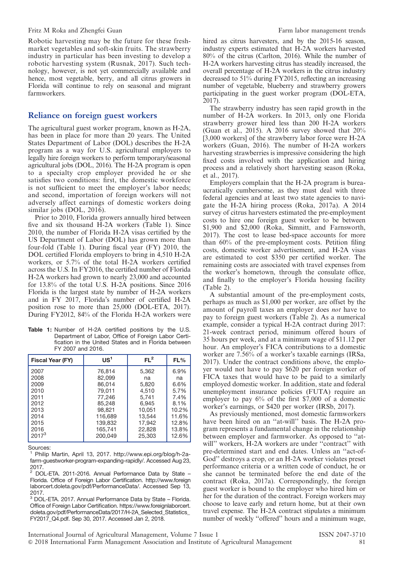#### Fritz M Roka and Zhengfei Guan Farm labor management trends

Robotic harvesting may be the future for these freshmarket vegetables and soft-skin fruits. The strawberry industry in particular has been investing to develop a robotic harvesting system (Rusnak, 2017). Such technology, however, is not yet commercially available and hence, most vegetable, berry, and all citrus growers in Florida will continue to rely on seasonal and migrant farmworkers.

#### Reliance on foreign guest workers

The agricultural guest worker program, known as H-2A, has been in place for more than 20 years. The United States Department of Labor (DOL) describes the H-2A program as a way for U.S. agricultural employers to legally hire foreign workers to perform temporary/seasonal agricultural jobs (DOL, 2016). The H-2A program is open to a specialty crop employer provided he or she satisfies two conditions: first, the domestic workforce is not sufficient to meet the employer's labor needs; and second, importation of foreign workers will not adversely affect earnings of domestic workers doing similar jobs (DOL, 2016).

Prior to 2010, Florida growers annually hired between five and six thousand H-2A workers (Table 1). Since 2010, the number of Florida H-2A visas certified by the US Department of Labor (DOL) has grown more than four-fold (Table 1). During fiscal year (FY) 2010, the DOL certified Florida employers to bring in 4,510 H-2A workers, or 5.7% of the total H-2A workers certified across the U.S. In FY2016, the certified number of Florida H-2A workers had grown to nearly 23,000 and accounted for 13.8% of the total U.S. H-2A positions. Since 2016 Florida is the largest state by number of H-2A workers and in FY 2017, Florida's number of certified H-2A position rose to more than 25,000 (DOL-ETA, 2017). During FY2012, 84% of the Florida H-2A workers were

Table 1: Number of H-2A certified positions by the U.S. Department of Labor, Office of Foreign Labor Certification in the United States and in Florida between FY 2007 and 2016.

| <b>Fiscal Year (FY)</b> | US <sup>1</sup> | FL <sup>2</sup> | FL%   |
|-------------------------|-----------------|-----------------|-------|
| 2007                    | 76,814          | 5,362           | 6.9%  |
| 2008                    | 82.099          | na              | na    |
| 2009                    | 86.014          | 5,820           | 6.6%  |
| 2010                    | 79,011          | 4.510           | 5.7%  |
| 2011                    | 77,246          | 5.741           | 7.4%  |
| 2012                    | 85,248          | 6.945           | 8.1%  |
| 2013                    | 98.821          | 10.051          | 10.2% |
| 2014                    | 116,689         | 13.544          | 11.6% |
| 2015                    | 139.832         | 17.942          | 12.8% |
| 2016                    | 165.741         | 22.828          | 13.8% |
| $2017^3$                | 200.049         | 25,303          | 12.6% |

Sources:

<sup>1</sup> Philip Martin, April 13, 2017. http://www.epi.org/blog/h-2afarm-guestworker-program-expanding-rapidly/. Accessed Aug 23, 2017.

<sup>2</sup> DOL-ETA. 2011-2016. Annual Performance Data by State – Florida. Office of Foreign Labor Certification. http://www.foreign laborcert.doleta.gov/pdf/PerformanceData/. Accessed Sep 13, 2017.

<sup>3</sup> DOL-ETA. 2017. Annual Performance Data by State – Florida. Office of Foreign Labor Certification. https://www.foreignlaborcert. doleta.gov/pdf/PerformanceData/2017/H-2A\_Selected\_Statistics\_ FY2017\_Q4.pdf. Sep 30, 2017. Accessed Jan 2, 2018.

hired as citrus harvesters, and by the 2015-16 season, industry experts estimated that H-2A workers harvested 80% of the citrus (Carlton, 2016). While the number of H-2A workers harvesting citrus has steadily increased, the overall percentage of H-2A workers in the citrus industry decreased to 51% during FY2015, reflecting an increasing number of vegetable, blueberry and strawberry growers participating in the guest worker program (DOL-ETA, 2017).

The strawberry industry has seen rapid growth in the number of H-2A workers. In 2013, only one Florida strawberry grower hired less than 200 H-2A workers (Guan et al., 2015). A 2016 survey showed that 20% [3,000 workers] of the strawberry labor force were H-2A workers (Guan, 2016). The number of H-2A workers harvesting strawberries is impressive considering the high fixed costs involved with the application and hiring process and a relatively short harvesting season (Roka, et al., 2017).

Employers complain that the H-2A program is bureaucratically cumbersome, as they must deal with three federal agencies and at least two state agencies to navigate the H-2A hiring process (Roka, 2017a). A 2014 survey of citrus harvesters estimated the pre-employment costs to hire one foreign guest worker to be between \$1,900 and \$2,000 (Roka, Simnitt, and Farnsworth, 2017). The cost to lease bed-space accounts for more than 60% of the pre-employment costs. Petition filing costs, domestic worker advertisement, and H-2A visas are estimated to cost \$350 per certified worker. The remaining costs are associated with travel expenses from the worker's hometown, through the consulate office, and finally to the employer's Florida housing facility (Table 2).

A substantial amount of the pre-employment costs, perhaps as much as \$1,000 per worker, are offset by the amount of payroll taxes an employer does not have to pay to foreign guest workers (Table 2). As a numerical example, consider a typical H-2A contract during 2017: 21-week contract period, minimum offered hours of 35 hours per week, and at a minimum wage of \$11.12 per hour. An employer's FICA contributions to a domestic worker are 7.56% of a worker's taxable earnings (IRSa, 2017). Under the contract conditions above, the employer would not have to pay \$620 per foreign worker of FICA taxes that would have to be paid to a similarly employed domestic worker. In addition, state and federal unemployment insurance policies (FUTA) require an employer to pay 6% of the first \$7,000 of a domestic worker's earnings, or \$420 per worker (IRSb, 2017).

As previously mentioned, most domestic farmworkers have been hired on an ''at-will'' basis. The H-2A program represents a fundamental change in the relationship between employer and farmworker. As opposed to ''atwill'' workers, H-2A workers are under "contract" with pre-determined start and end dates. Unless an ''act-of-God'' destroys a crop, or an H-2A worker violates preset performance criteria or a written code of conduct, he or she cannot be terminated before the end date of the contract (Roka, 2017a). Correspondingly, the foreign guest worker is bound to the employer who hired him or her for the duration of the contract. Foreign workers may choose to leave early and return home, but at their own travel expense. The H-2A contract stipulates a minimum number of weekly ''offered'' hours and a minimum wage,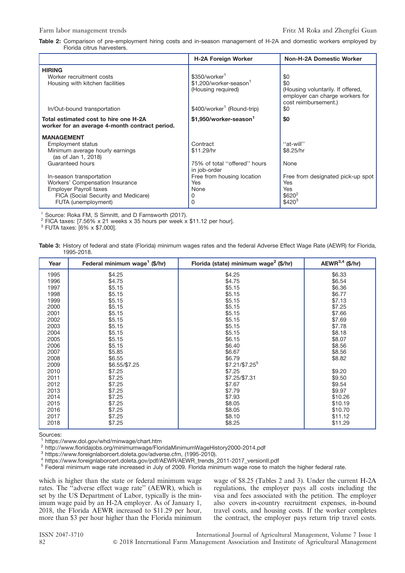Table 2: Comparison of pre-employment hiring costs and in-season management of H-2A and domestic workers employed by Florida citrus harvesters.

|                                                                                         | <b>H-2A Foreign Worker</b>                               | <b>Non-H-2A Domestic Worker</b>                                                                     |
|-----------------------------------------------------------------------------------------|----------------------------------------------------------|-----------------------------------------------------------------------------------------------------|
| <b>HIRING</b>                                                                           |                                                          |                                                                                                     |
| Worker recruitment costs                                                                | \$350/worker <sup>1</sup>                                | \$0                                                                                                 |
| Housing with kitchen facilities                                                         | \$1,200/worker-season <sup>1</sup><br>(Housing required) | \$0<br>(Housing voluntarily. If offered,<br>employer can charge workers for<br>cost reimbursement.) |
| In/Out-bound transportation                                                             | \$400/worker <sup>1</sup> (Round-trip)                   | \$0                                                                                                 |
| Total estimated cost to hire one H-2A<br>worker for an average 4-month contract period. | \$1.950/worker-season <sup>1</sup>                       | \$0                                                                                                 |
| <b>MANAGEMENT</b>                                                                       |                                                          |                                                                                                     |
| Employment status                                                                       | Contract                                                 | "at-will"                                                                                           |
| Minimum average hourly earnings<br>(as of Jan 1, 2018)                                  | \$11.29/hr                                               | \$8.25/hr                                                                                           |
| Guaranteed hours                                                                        | 75% of total "offered" hours<br>in job-order             | None                                                                                                |
| In-season transportation                                                                | Free from housing location                               | Free from designated pick-up spot                                                                   |
| Workers' Compensation Insurance                                                         | <b>Yes</b>                                               | Yes                                                                                                 |
| <b>Employer Payroll taxes</b>                                                           | None                                                     | Yes                                                                                                 |
| FICA (Social Security and Medicare)<br>FUTA (unemployment)                              | 0<br>0                                                   | $$620^2$<br>$$420^3$                                                                                |

<sup>1</sup> Source: Roka FM, S Simnitt, and D Farnsworth (2017).<br><sup>2</sup> FICA taxes: [7.56% x 21 weeks x 35 hours per week x \$11.12 per hour].<br><sup>3</sup> FUTA taxes: [6% x \$7,000].

Table 3: History of federal and state (Florida) minimum wages rates and the federal Adverse Effect Wage Rate (AEWR) for Florida, 1995-2018.

| Year | Federal minimum wage <sup>1</sup> (\$/hr) | Florida (state) minimum wage <sup>2</sup> (\$/hr) | AEWR $^{3,4}$ (\$/hr) |
|------|-------------------------------------------|---------------------------------------------------|-----------------------|
| 1995 | \$4.25                                    | \$4.25                                            | \$6.33                |
| 1996 | \$4.75                                    | \$4.75                                            | \$6.54                |
| 1997 | \$5.15                                    | \$5.15                                            | \$6.36                |
| 1998 | \$5.15                                    | \$5.15                                            | \$6.77                |
| 1999 | \$5.15                                    | \$5.15                                            | \$7.13                |
| 2000 | \$5.15                                    | \$5.15                                            | \$7.25                |
| 2001 | \$5.15                                    | \$5.15                                            | \$7.66                |
| 2002 | \$5.15                                    | \$5.15                                            | \$7.69                |
| 2003 | \$5.15                                    | \$5.15                                            | \$7.78                |
| 2004 | \$5.15                                    | \$5.15                                            | \$8.18                |
| 2005 | \$5.15                                    | \$6.15                                            | \$8.07                |
| 2006 | \$5.15                                    | \$6.40                                            | \$8.56                |
| 2007 | \$5.85                                    | \$6.67                                            | \$8.56                |
| 2008 | \$6.55                                    | \$6.79                                            | \$8.82                |
| 2009 | \$6.55/\$7.25                             | $$7.21/\$7.25^5$                                  |                       |
| 2010 | \$7.25                                    | \$7.25                                            | \$9.20                |
| 2011 | \$7.25                                    | \$7.25/\$7.31                                     | \$9.50                |
| 2012 | \$7.25                                    | \$7.67                                            | \$9.54                |
| 2013 | \$7.25                                    | \$7.79                                            | \$9.97                |
| 2014 | \$7.25                                    | \$7.93                                            | \$10.26               |
| 2015 | \$7.25                                    | \$8.05                                            | \$10.19               |
| 2016 | \$7.25                                    | \$8.05                                            | \$10.70               |
| 2017 | \$7.25                                    | \$8.10                                            | \$11.12               |
| 2018 | \$7.25                                    | \$8.25                                            | \$11.29               |

Sources:<br><sup>1</sup> https://www.dol.gov/whd/minwage/chart.htm

 $\footnotesize \begin{array}{l} \text{2 http://www.floridajobs.org/minimumwage/FloridaMinimumWageHistory2000-2014.pdf}\\ \text{3 https://www.forcignlaborcert.doleta.gov/adverse.cfm}, (1995-2010).\\ \text{4 https://www.forcignlaborcert.doleta.gov/adverse.cfm}, (1995-2010).\\ \text{5 Federal minimum wage rate increased in July of 2009. Florida minimum wage rose to match the higher federal rate.} \end{array}$ 

which is higher than the state or federal minimum wage rates. The ''adverse effect wage rate'' (AEWR), which is set by the US Department of Labor, typically is the minimum wage paid by an H-2A employer. As of January 1, 2018, the Florida AEWR increased to \$11.29 per hour, more than \$3 per hour higher than the Florida minimum wage of \$8.25 (Tables 2 and 3). Under the current H-2A regulations, the employer pays all costs including the visa and fees associated with the petition. The employer also covers in-country recruitment expenses, in-bound travel costs, and housing costs. If the worker completes the contract, the employer pays return trip travel costs.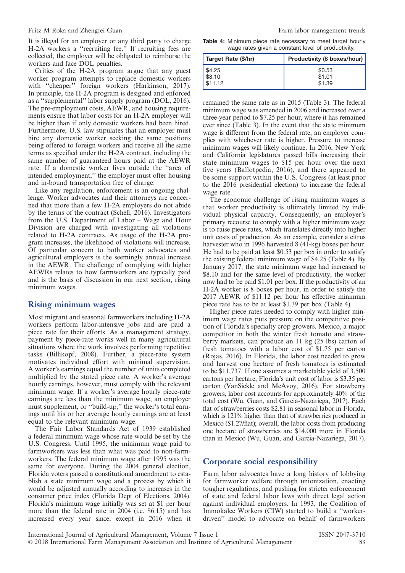#### Fritz M Roka and Zhengfei Guan Farm labor management trends

It is illegal for an employer or any third party to charge H-2A workers a "recruiting fee." If recruiting fees are collected, the employer will be obligated to reimburse the workers and face DOL penalties.

Critics of the H-2A program argue that any guest worker program attempts to replace domestic workers with "cheaper" foreign workers (Harkinson, 2017). In principle, the H-2A program is designed and enforced as a ''supplemental'' labor supply program (DOL, 2016). The pre-employment costs, AEWR, and housing requirements ensure that labor costs for an H-2A employer will be higher than if only domestic workers had been hired. Furthermore, U.S. law stipulates that an employer must hire any domestic worker seeking the same positions being offered to foreign workers and receive all the same terms as specified under the H-2A contract, including the same number of guaranteed hours paid at the AEWR rate. If a domestic worker lives outside the ''area of intended employment,'' the employer must offer housing and in-bound transportation free of charge.

Like any regulation, enforcement is an ongoing challenge. Worker advocates and their attorneys are concerned that more than a few H-2A employers do not abide by the terms of the contract (Schell, 2016). Investigators from the U.S. Department of Labor – Wage and Hour Division are charged with investigating all violations related to H-2A contracts. As usage of the H-2A program increases, the likelihood of violations will increase. Of particular concern to both worker advocates and agricultural employers is the seemingly annual increase in the AEWR. The challenge of complying with higher AEWRs relates to how farmworkers are typically paid and is the basis of discussion in our next section, rising minimum wages.

#### Rising minimum wages

Most migrant and seasonal farmworkers including H-2A workers perform labor-intensive jobs and are paid a piece rate for their efforts. As a management strategy, payment by piece-rate works well in many agricultural situations where the work involves performing repetitive tasks (Billikopf, 2008). Further, a piece-rate system motivates individual effort with minimal supervision. A worker's earnings equal the number of units completed multiplied by the stated piece rate. A worker's average hourly earnings, however, must comply with the relevant minimum wage. If a worker's average hourly piece-rate earnings are less than the minimum wage, an employer must supplement, or "build-up," the worker's total earnings until his or her average hourly earnings are at least equal to the relevant minimum wage.

The Fair Labor Standards Act of 1939 established a federal minimum wage whose rate would be set by the U.S. Congress. Until 1995, the minimum wage paid to farmworkers was less than what was paid to non-farmworkers. The federal minimum wage after 1995 was the same for everyone. During the 2004 general election, Florida voters passed a constitutional amendment to establish a state minimum wage and a process by which it would be adjusted annually according to increases in the consumer price index (Florida Dept of Elections, 2004). Florida's minimum wage initially was set at \$1 per hour more than the federal rate in 2004 (i.e. \$6.15) and has increased every year since, except in 2016 when it

Table 4: Minimum piece rate necessary to meet target hourly wage rates given a constant level of productivity.

| Target Rate (\$/hr) | <b>Productivity (8 boxes/hour)</b> |
|---------------------|------------------------------------|
| \$4.25              | \$0.53                             |
| $ $ \$8.10          | \$1.01                             |
| $1$ \$11.12         | \$1.39                             |

remained the same rate as in 2015 (Table 3). The federal minimum wage was amended in 2006 and increased over a three-year period to \$7.25 per hour, where it has remained ever since (Table 3). In the event that the state minimum wage is different from the federal rate, an employer complies with whichever rate is higher. Pressure to increase minimum wages will likely continue. In 2016, New York and California legislatures passed bills increasing their state minimum wages to \$15 per hour over the next five years (Ballotpedia, 2016), and there appeared to be some support within the U.S. Congress (at least prior to the 2016 presidential election) to increase the federal wage rate.

The economic challenge of rising minimum wages is that worker productivity is ultimately limited by individual physical capacity. Consequently, an employer's primary recourse to comply with a higher minimum wage is to raise piece rates, which translates directly into higher unit costs of production. As an example, consider a citrus harvester who in 1996 harvested 8 (41-kg) boxes per hour. He had to be paid at least \$0.53 per box in order to satisfy the existing federal minimum wage of \$4.25 (Table 4). By January 2017, the state minimum wage had increased to \$8.10 and for the same level of productivity, the worker now had to be paid \$1.01 per box. If the productivity of an H-2A worker is 8 boxes per hour, in order to satisfy the 2017 AEWR of \$11.12 per hour his effective minimum piece rate has to be at least \$1.39 per box (Table 4).

Higher piece rates needed to comply with higher minimum wage rates puts pressure on the competitive position of Florida's specialty crop growers. Mexico, a major competitor in both the winter fresh tomato and strawberry markets, can produce an 11 kg (25 lbs) carton of fresh tomatoes with a labor cost of \$1.75 per carton (Rojas, 2016). In Florida, the labor cost needed to grow and harvest one hectare of fresh tomatoes is estimated to be \$11,737. If one assumes a marketable yield of 3,500 cartons per hectare, Florida's unit cost of labor is \$3.35 per carton (VanSickle and McAvoy, 2016). For strawberry growers, labor cost accounts for approximately 40% of the total cost (Wu, Guan, and Garcia-Nazariega, 2017). Each flat of strawberries costs \$2.81 in seasonal labor in Florida, which is 121% higher than that of strawberries produced in Mexico (\$1.27/flat); overall, the labor costs from producing one hectare of strawberries are \$14,000 more in Florida than in Mexico (Wu, Guan, and Garcia-Nazariega, 2017).

#### Corporate social responsibility

Farm labor advocates have a long history of lobbying for farmworker welfare through unionization, enacting tougher regulations, and pushing for stricter enforcement of state and federal labor laws with direct legal action against individual employers. In 1993, the Coalition of Immokalee Workers (CIW) started to build a ''workerdriven'' model to advocate on behalf of farmworkers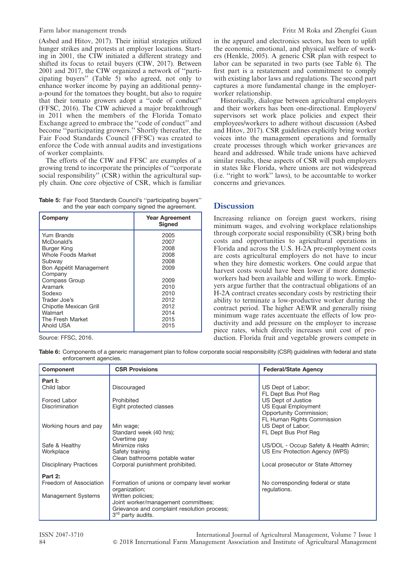(Asbed and Hitov, 2017). Their initial strategies utilized hunger strikes and protests at employer locations. Starting in 2001, the CIW initiated a different strategy and shifted its focus to retail buyers (CIW, 2017). Between 2001 and 2017, the CIW organized a network of ''participating buyers'' (Table 5) who agreed, not only to enhance worker income by paying an additional pennya-pound for the tomatoes they bought, but also to require that their tomato growers adopt a ''code of conduct'' (FFSC, 2016). The CIW achieved a major breakthrough in 2011 when the members of the Florida Tomato Exchange agreed to embrace the ''code of conduct'' and become ''participating growers.'' Shortly thereafter, the Fair Food Standards Council (FFSC) was created to enforce the Code with annual audits and investigations of worker complaints.

The efforts of the CIW and FFSC are examples of a growing trend to incorporate the principles of ''corporate social responsibility" (CSR) within the agricultural supply chain. One core objective of CSR, which is familiar

Table 5: Fair Food Standards Council's "participating buyers" and the year each company signed the agreement.

| Company                | <b>Year Agreement</b><br><b>Signed</b> |
|------------------------|----------------------------------------|
| Yum Brands             | 2005                                   |
| McDonald's             | 2007                                   |
| Burger King            | 2008                                   |
| Whole Foods Market     | 2008                                   |
| Subway                 | 2008                                   |
| Bon Appétit Management | 2009                                   |
| Company                |                                        |
| Compass Group          | 2009                                   |
| Aramark                | 2010                                   |
| Sodexo                 | 2010                                   |
| Trader Joe's           | 2012                                   |
| Chipotle Mexican Grill | 2012                                   |
| Walmart                | 2014                                   |
| The Fresh Market       | 2015                                   |
| Ahold USA              | 2015                                   |

Source: FFSC, 2016.

in the apparel and electronics sectors, has been to uplift the economic, emotional, and physical welfare of workers (Henkle, 2005). A generic CSR plan with respect to labor can be separated in two parts (see Table  $\vec{6}$ ). The first part is a restatement and commitment to comply with existing labor laws and regulations. The second part captures a more fundamental change in the employerworker relationship.

Historically, dialogue between agricultural employers and their workers has been one-directional. Employers/ supervisors set work place policies and expect their employees/workers to adhere without discussion (Asbed and Hitov, 2017). CSR guidelines explicitly bring worker voices into the management operations and formally create processes through which worker grievances are heard and addressed. While trade unions have achieved similar results, these aspects of CSR will push employers in states like Florida, where unions are not widespread (i.e. ''right to work'' laws), to be accountable to worker concerns and grievances.

## **Discussion**

Increasing reliance on foreign guest workers, rising minimum wages, and evolving workplace relationships through corporate social responsibility (CSR) bring both costs and opportunities to agricultural operations in Florida and across the U.S. H-2A pre-employment costs are costs agricultural employers do not have to incur when they hire domestic workers. One could argue that harvest costs would have been lower if more domestic workers had been available and willing to work. Employers argue further that the contractual obligations of an H-2A contract creates secondary costs by restricting their ability to terminate a low-productive worker during the contract period. The higher AEWR and generally rising minimum wage rates accentuate the effects of low productivity and add pressure on the employer to increase piece rates, which directly increases unit cost of production. Florida fruit and vegetable growers compete in

Table 6: Components of a generic management plan to follow corporate social responsibility (CSR) guidelines with federal and state enforcement agencies.

| Component                     | <b>CSR Provisions</b>                       | <b>Federal/State Agency</b>                           |
|-------------------------------|---------------------------------------------|-------------------------------------------------------|
| Part I:                       |                                             |                                                       |
| Child labor                   | Discouraged                                 | US Dept of Labor;<br>FL Dept Bus Prof Reg             |
| Forced Labor                  | Prohibited                                  | US Dept of Justice                                    |
| <b>Discrimination</b>         | Eight protected classes                     | <b>US Equal Employment</b><br>Opportunity Commission; |
|                               |                                             | FL Human Rights Commission                            |
| Working hours and pay         | Min wage;                                   | US Dept of Labor;                                     |
|                               | Standard week (40 hrs);                     | FL Dept Bus Prof Req                                  |
|                               | Overtime pay                                |                                                       |
| Safe & Healthy                | Minimize risks                              | US/DOL - Occup Safety & Health Admin;                 |
| Workplace                     | Safety training                             | US Env Protection Agency (WPS)                        |
|                               | Clean bathrooms potable water               |                                                       |
| <b>Disciplinary Practices</b> | Corporal punishment prohibited.             | Local prosecutor or State Attorney                    |
| Part 2:                       |                                             |                                                       |
| Freedom of Association        | Formation of unions or company level worker | No corresponding federal or state                     |
|                               | organization;                               | regulations.                                          |
| Management Systems            | Written policies;                           |                                                       |
|                               | Joint worker/management committees;         |                                                       |
|                               | Grievance and complaint resolution process; |                                                       |
|                               | 3 <sup>rd</sup> party audits.               |                                                       |

ISSN 2047-3710 International Journal of Agricultural Management, Volume 7 Issue 1 84 & 2018 International Farm Management Association and Institute of Agricultural Management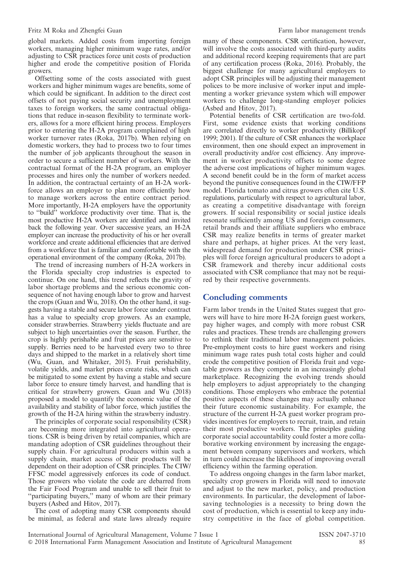global markets. Added costs from importing foreign workers, managing higher minimum wage rates, and/or adjusting to CSR practices force unit costs of production higher and erode the competitive position of Florida growers.

Offsetting some of the costs associated with guest workers and higher minimum wages are benefits, some of which could be significant. In addition to the direct cost offsets of not paying social security and unemployment taxes to foreign workers, the same contractual obligations that reduce in-season flexibility to terminate workers, allows for a more efficient hiring process. Employers prior to entering the H-2A program complained of high worker turnover rates (Roka, 2017b). When relying on domestic workers, they had to process two to four times the number of job applicants throughout the season in order to secure a sufficient number of workers. With the contractual format of the H-2A program, an employer processes and hires only the number of workers needed. In addition, the contractual certainty of an H-2A workforce allows an employer to plan more efficiently how to manage workers across the entire contract period. More importantly, H-2A employers have the opportunity to ''build'' workforce productivity over time. That is, the most productive H-2A workers are identified and invited back the following year. Over successive years, an H-2A employer can increase the productivity of his or her overall workforce and create additional efficiencies that are derived from a workforce that is familiar and comfortable with the operational environment of the company (Roka, 2017b).

The trend of increasing numbers of H-2A workers in the Florida specialty crop industries is expected to continue. On one hand, this trend reflects the gravity of labor shortage problems and the serious economic consequence of not having enough labor to grow and harvest the crops (Guan and Wu, 2018). On the other hand, it suggests having a stable and secure labor force under contract has a value to specialty crop growers. As an example, consider strawberries. Strawberry yields fluctuate and are subject to high uncertainties over the season. Further, the crop is highly perishable and fruit prices are sensitive to supply. Berries need to be harvested every two to three days and shipped to the market in a relatively short time (Wu, Guan, and Whitaker, 2015). Fruit perishability, volatile yields, and market prices create risks, which can be mitigated to some extent by having a stable and secure labor force to ensure timely harvest, and handling that is critical for strawberry growers. Guan and Wu (2018) proposed a model to quantify the economic value of the availability and stability of labor force, which justifies the growth of the H-2A hiring within the strawberry industry.

The principles of corporate social responsibility (CSR) are becoming more integrated into agricultural operations. CSR is being driven by retail companies, which are mandating adoption of CSR guidelines throughout their supply chain. For agricultural producers within such a supply chain, market access of their products will be dependent on their adoption of CSR principles. The CIW/ FFSC model aggressively enforces its code of conduct. Those growers who violate the code are debarred from the Fair Food Program and unable to sell their fruit to "participating buyers," many of whom are their primary buyers (Asbed and Hitov, 2017).

The cost of adopting many CSR components should be minimal, as federal and state laws already require many of these components. CSR certification, however, will involve the costs associated with third-party audits and additional record keeping requirements that are part of any certification process (Roka, 2016). Probably, the biggest challenge for many agricultural employers to adopt CSR principles will be adjusting their management polices to be more inclusive of worker input and implementing a worker grievance system which will empower workers to challenge long-standing employer policies (Asbed and Hitov, 2017).

Potential benefits of CSR certification are two-fold. First, some evidence exists that working conditions are correlated directly to worker productivity (Billikopf 1999; 2001). If the culture of CSR enhances the workplace environment, then one should expect an improvement in overall productivity and/or cost efficiency. Any improvement in worker productivity offsets to some degree the adverse cost implications of higher minimum wages. A second benefit could be in the form of market access beyond the punitive consequences found in the CIW/FFP model. Florida tomato and citrus growers often cite U.S. regulations, particularly with respect to agricultural labor, as creating a competitive disadvantage with foreign growers. If social responsibility or social justice ideals resonate sufficiently among US and foreign consumers, retail brands and their affiliate suppliers who embrace CSR may realize benefits in terms of greater market share and perhaps, at higher prices. At the very least, widespread demand for production under CSR principles will force foreign agricultural producers to adopt a CSR framework and thereby incur additional costs associated with CSR compliance that may not be required by their respective governments.

#### Concluding comments

Farm labor trends in the United States suggest that growers will have to hire more H-2A foreign guest workers, pay higher wages, and comply with more robust CSR rules and practices. These trends are challenging growers to rethink their traditional labor management policies. Pre-employment costs to hire guest workers and rising minimum wage rates push total costs higher and could erode the competitive position of Florida fruit and vegetable growers as they compete in an increasingly global marketplace. Recognizing the evolving trends should help employers to adjust appropriately to the changing conditions. Those employers who embrace the potential positive aspects of these changes may actually enhance their future economic sustainability. For example, the structure of the current H-2A guest worker program provides incentives for employers to recruit, train, and retain their most productive workers. The principles guiding corporate social accountability could foster a more collaborative working environment by increasing the engagement between company supervisors and workers, which in turn could increase the likelihood of improving overall efficiency within the farming operation.

To address ongoing changes in the farm labor market, specialty crop growers in Florida will need to innovate and adjust to the new market, policy, and production environments. In particular, the development of laborsaving technologies is a necessity to bring down the cost of production, which is essential to keep any industry competitive in the face of global competition.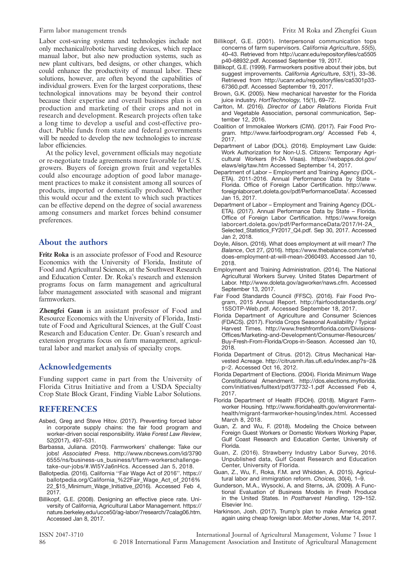Labor cost-saving systems and technologies include not only mechanical/robotic harvesting devices, which replace manual labor, but also new production systems, such as new plant cultivars, bed designs, or other changes, which could enhance the productivity of manual labor. These solutions, however, are often beyond the capabilities of individual growers. Even for the largest corporations, these technological innovations may be beyond their control because their expertise and overall business plan is on production and marketing of their crops and not in research and development. Research projects often take a long time to develop a useful and cost-effective product. Public funds from state and federal governments will be needed to develop the new technologies to increase labor efficiencies.

At the policy level, government officials may negotiate or re-negotiate trade agreements more favorable for U.S. growers. Buyers of foreign grown fruit and vegetables could also encourage adoption of good labor management practices to make it consistent among all sources of products, imported or domestically produced. Whether this would occur and the extent to which such practices can be effective depend on the degree of social awareness among consumers and market forces behind consumer preferences.

#### About the authors

Fritz Roka is an associate professor of Food and Resource Economics with the University of Florida, Institute of Food and Agricultural Sciences, at the Southwest Research and Education Center. Dr. Roka's research and extension programs focus on farm management and agricultural labor management associated with seasonal and migrant farmworkers.

Zhengfei Guan is an assistant professor of Food and Resource Economics with the University of Florida, Institute of Food and Agricultural Sciences, at the Gulf Coast Research and Education Center. Dr. Guan's research and extension programs focus on farm management, agricultural labor and market analysis of specialty crops.

#### Acknowledgements

Funding support came in part from the University of Florida Citrus Initiative and from a USDA Specialty Crop State Block Grant, Finding Viable Labor Solutions.

## **REFERENCES**

- Asbed, Greg and Steve Hitov. (2017). Preventing forced labor in corporate supply chains: the fair food program and worker-driven social responsibility. Wake Forest Law Review, 52(2017), 497–531.
- Barbassa, Juliana. (2010). Farmworkers' challenge: Take our jobs! Associated Press. http://www.nbcnews.com/id/3790 6555/ns/business-us\_business/t/farm-workerschallengetake-our-jobs/#.Wl5YJa6nHcs. Accessed Jan 5, 2018.
- Ballotpedia. (2016). California ''Fair Wage Act of 2016''. https:// ballotpedia.org/California\_%22Fair\_Wage\_Act\_of\_2016% 22\_\$15\_Minimum\_Wage\_Initiative\_(2016). Accessed Feb 4, 2017.
- Billikopf, G.E. (2008). Designing an effective piece rate. University of California, Agricultural Labor Management. https:// nature.berkeley.edu/ucce50/ag-labor/7research/7calag06.htm. Accessed Jan 8, 2017.
- Billikopf, G.E. (2001). Interpersonal communication tops concerns of farm supervisors. California Agriculture, 55(5), 40–43. Retrieved from http://ucanr.edu/repositoryfiles/ca5505 p40-68932.pdf. Accessed September 19, 2017.
- Billikopf, G.E. (1999). Farmworkers positive about their jobs, but suggest improvements. California Agriculture, 53(1), 33–36. Retrieved from http://ucanr.edu/repositoryfiles/ca5301p33- 67360.pdf. Accessed September 19, 2017.
- Brown, G.K. (2005). New mechanical harvester for the Florida juice industry. HortTechnology, 15(1), 69–72.
- Carlton, M. (2016). Director of Labor Relations Florida Fruit and Vegetable Association, personal communication, September 12, 2016.
- Coalition of Immokalee Workers (CIW). (2017). Fair Food Program. http://www.fairfoodprogram.org/ Accessed Feb 4, 2017.
- Department of Labor (DOL). (2016). Employment Law Guide: Work Authorization for Non-U.S. Citizens: Temporary Agricultural Workers (H-2A Visas). https://webapps.dol.gov/ elaws/elg/taw.htm Accessed September 14, 2017.
- Department of Labor Employment and Training Agency (DOL-ETA). 2011-2016. Annual Performance Data by State – Florida. Office of Foreign Labor Certification. http://www. foreignlaborcert.doleta.gov/pdf/PerformanceData/. Accessed Jan 15, 2017.
- Department of Labor Employment and Training Agency (DOL-ETA). (2017). Annual Performance Data by State – Florida. Office of Foreign Labor Certification. https://www.foreign laborcert.doleta.gov/pdf/PerformanceData/2017/H-2A\_ Selected\_Statistics\_FY2017\_Q4.pdf. Sep 30, 2017. Accessed Jan 2, 2018.
- Doyle, Alison. (2016). What does employment at will mean? The Balance, Oct 27, (2016). https://www.thebalance.com/whatdoes-employment-at-will-mean-2060493. Accessed Jan 10, 2018.
- Employment and Training Administration. (2014). The National Agricultural Workers Survey. United States Department of Labor. http://www.doleta.gov/agworker/naws.cfm. Accessed September 13, 2017.
- Fair Food Standards Council (FFSC). (2016). Fair Food Program, 2015 Annual Report. http://fairfoodstandards.org/ 15SOTP-Web.pdf. Accessed September 18, 2017.
- Florida Department of Agriculture and Consumer Sciences (FDACS). (2017). Florida Crops Seasonal Availability / Typical Harvest Times. http://www.freshfromflorida.com/Divisions-Offices/Marketing-and-Development/Consumer-Resources/ Buy-Fresh-From-Florida/Crops-in-Season. Accessed Jan 10, 2018.
- Florida Department of Citrus. (2012). Citrus Mechanical Harvested Acreage. http://citrusmh.ifas.ufl.edu/index.asp?s=2& p=2. Accessed Oct 16, 2012.
- Florida Department of Elections. (2004). Florida Minimum Wage Constitutional Amendment. http://dos.elections.myflorida. com/initiatives/fulltext/pdf/37732-1.pdf Accessed Feb 4, 2017.
- Florida Department of Health (FDOH). (2018). Migrant Farmworker Housing. http://www.floridahealth.gov/environmentalhealth/migrant-farmworker-housing/index.html. Accessed March 8, 2018.
- Guan, Z. and Wu, F. (2018). Modeling the Choice between Foreign Guest Workers or Domestic Workers Working Paper, Gulf Coast Research and Education Center, University of Florida.
- Guan, Z. (2016). Strawberry Industry Labor Survey, 2016. Unpublished data, Gulf Coast Research and Education Center, University of Florida.
- Guan, Z., Wu, F., Roka, F.M. and Whidden, A. (2015). Agricultural labor and immigration reform. Choices, 30(4), 1–9.
- Gunderson, M.A., Wysocki, A. and Sterns, JA. (2009). A Functional Evaluation of Business Models in Fresh Produce in the United States. In Postharvest Handling, 129–152. Elsevier Inc.
- Harkinson, Josh. (2017). Trump's plan to make America great again using cheap foreign labor. Mother Jones, Mar 14, 2017.